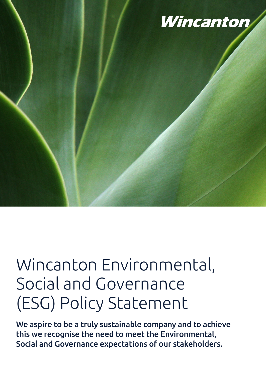

# Wincanton Environmental, Social and Governance (ESG) Policy Statement

We aspire to be a truly sustainable company and to achieve this we recognise the need to meet the Environmental, Social and Governance expectations of our stakeholders.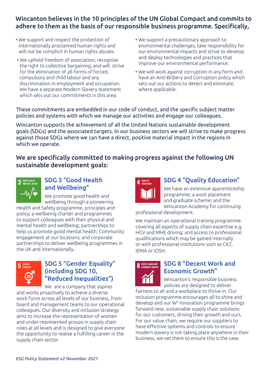# Wincanton believes in the 10 principles of the UN Global Compact and commits to adhere to them as the basis of our responsible business programme. Specifically,

- We support and respect the protection of internationally proclaimed human rights and will not be complicit in human rights abuses.
- We uphold freedom of association; recognise the right to collective bargaining; and will strive for the elimination of all forms of forced, compulsory and child labour and any discrimination in employment and occupation. We have a separate Modern Slavery statement which sets out our commitments in this area.
- We support a precautionary approach to environmental challenges; take responsibility for our environmental impacts and strive to develop and deploy technologies and practices that improve our environmental performance.
- We will work against corruption in any form and have an Anti-Bribery and Corruption policy which sets out our actions to detect and eliminate, where applicable.

These commitments are embedded in our code of conduct, and the specific subject matter policies and systems with which we manage our activities and engage our colleagues.

Wincanton supports the achievement of all the United Nations sustainable development goals (SDGs) and the associated targets. In our business sectors we will strive to make progress against those SDGs where we can have a direct, positive material impact in the regions in which we operate.

We are specifically committed to making progress against the following UN sustainable development goals:



# SDG 3 "Good Health and Wellbeing"

We promote good health and wellbeing through a pioneering

Health and Safety programme, principles and policy; a wellbeing charter and programmes to support colleagues with their physical and mental health and wellbeing; partnerships to help us promote good mental health; Community engagement at our locations; and corporate partnerships to deliver wellbeing programmes in the UK and internationally.



# SDG 5 "Gender Equality" (including SDG 10, "Reduced Inequalities")

We are a company that aspires

and works proactively to achieve a diverse work force across all levels of our business, from board and management teams to our operational colleagues. Our diversity and inclusion strategy aims to increase the representation of women and under-represented groups in supply chain roles at all levels and is designed to give everyone the opportunity to realise a fulfilling career in the supply chain sector.



# SDG 4 "Quality Education"

We have an extensive apprenticeship programme; a work placement and graduate scheme; and the Wincanton Academy for continuing

professional development.

We maintain an operational training programme covering all aspects of supply chain expertise e.g. HGV and MHE driving; and access to professional qualifications which may be gained internally or with professional institutions such as CILT, IEMA or IOSH.



#### SDG 8 "Decent Work and Economic Growth"

Wincanton's responsible business policies are designed to deliver

fairness to all and a workplace to thrive in. Our inclusion programme encourages all to shine and develop and our W2 Innovation programme brings forward new, sustainable supply chain solutions for our customers, driving their growth and ours. For our value chain, we require our suppliers to have effective systems and controls to ensure modern slavery is not taking place anywhere in their business, we vet them to ensure this is the case.